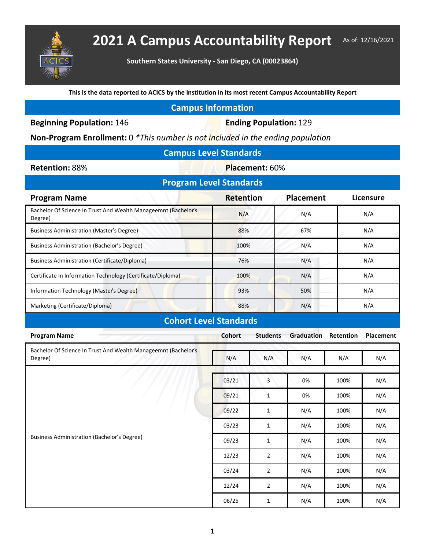

## **2021 A Campus Accountability Report** As of: 12/16/2021

**Southern States University - San Diego, CA (00023864)**

**This is the data reported to ACICS by the institution in its most recent Campus Accountability Report**

## **Campus Information**

**Beginning Population: 146 <b>Ending Population: 129** 

**Non-Program Enrollment:** 0 *\*This number is not included in the ending population*

| <b>Campus Level Standards</b> |  |  |  |  |
|-------------------------------|--|--|--|--|
|-------------------------------|--|--|--|--|

**Retention: 88% Placement: 60%** 

| <b>Program Level Standards</b>                                            |                  |                  |           |  |  |  |
|---------------------------------------------------------------------------|------------------|------------------|-----------|--|--|--|
| <b>Program Name</b>                                                       | <b>Retention</b> | <b>Placement</b> | Licensure |  |  |  |
| Bachelor Of Science In Trust And Wealth Manageemnt (Bachelor's<br>Degree) | N/A              | N/A              | N/A       |  |  |  |
| Business Administration (Master's Degree)                                 | 88%              | 67%              | N/A       |  |  |  |
| Business Administration (Bachelor's Degree)                               | 100%             | N/A              | N/A       |  |  |  |
| <b>Business Administration (Certificate/Diploma)</b>                      | 76%              | N/A              | N/A       |  |  |  |
| Certificate In Information Technology (Certificate/Diploma)               | 100%             | N/A              | N/A       |  |  |  |
| Information Technology (Master's Degree)                                  | 93%              | 50%              | N/A       |  |  |  |
| Marketing (Certificate/Diploma)                                           | 88%              | N/A              | N/A       |  |  |  |
| <b>Cohort Level Standards</b>                                             |                  |                  |           |  |  |  |

| <b>Program Name</b>                                                       | <b>Cohort</b> | <b>Students</b> | Graduation | Retention | Placement |
|---------------------------------------------------------------------------|---------------|-----------------|------------|-----------|-----------|
| Bachelor Of Science In Trust And Wealth Manageemnt (Bachelor's<br>Degree) | N/A           | N/A             | N/A        | N/A       | N/A       |
| <b>Business Administration (Bachelor's Degree)</b>                        | 03/21         | 3               | 0%         | 100%      | N/A       |
|                                                                           | 09/21         | $\mathbf{1}$    | 0%         | 100%      | N/A       |
|                                                                           | 09/22         | $\mathbf{1}$    | N/A        | 100%      | N/A       |
|                                                                           | 03/23         | 1               | N/A        | 100%      | N/A       |
|                                                                           | 09/23         | $\mathbf{1}$    | N/A        | 100%      | N/A       |
|                                                                           | 12/23         | $\overline{2}$  | N/A        | 100%      | N/A       |
|                                                                           | 03/24         | $\overline{2}$  | N/A        | 100%      | N/A       |
|                                                                           | 12/24         | $\overline{2}$  | N/A        | 100%      | N/A       |
|                                                                           | 06/25         | 1               | N/A        | 100%      | N/A       |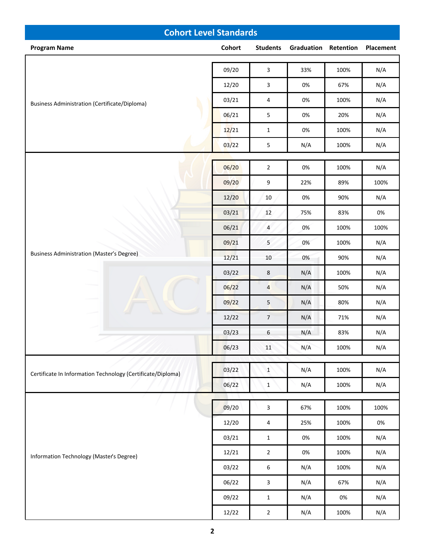| <b>Cohort Level Standards</b>                               |        |                  |                             |       |           |  |
|-------------------------------------------------------------|--------|------------------|-----------------------------|-------|-----------|--|
| <b>Program Name</b>                                         | Cohort | <b>Students</b>  | <b>Graduation Retention</b> |       | Placement |  |
| <b>Business Administration (Certificate/Diploma)</b>        |        | $\overline{3}$   |                             |       |           |  |
|                                                             | 09/20  |                  | 33%                         | 100%  | N/A       |  |
|                                                             | 12/20  | 3                | 0%                          | 67%   | N/A       |  |
|                                                             | 03/21  | 4                | 0%                          | 100%  | N/A       |  |
|                                                             | 06/21  | $\sqrt{5}$       | 0%                          | 20%   | N/A       |  |
|                                                             | 12/21  | $\mathbf{1}$     | 0%                          | 100%  | N/A       |  |
|                                                             | 03/22  | $\sqrt{5}$       | N/A                         | 100%  | N/A       |  |
|                                                             | 06/20  | $\overline{2}$   | 0%                          | 100%  | N/A       |  |
|                                                             | 09/20  | 9                | 22%                         | 89%   | 100%      |  |
|                                                             | 12/20  | $10\,$           | 0%                          | 90%   | N/A       |  |
|                                                             | 03/21  | 12               | 75%                         | 83%   | 0%        |  |
|                                                             | 06/21  | $\overline{4}$   | 0%                          | 100%  | 100%      |  |
|                                                             | 09/21  | 5                | 0%                          | 100%  | N/A       |  |
| <b>Business Administration (Master's Degree)</b>            | 12/21  | $10\,$           | 0%                          | 90%   | N/A       |  |
|                                                             | 03/22  | $\,8\,$          | N/A                         | 100%  | N/A       |  |
|                                                             | 06/22  | $\overline{4}$   | N/A                         | 50%   | N/A       |  |
|                                                             | 09/22  | $5\phantom{.0}$  | N/A                         | 80%   | N/A       |  |
|                                                             | 12/22  | $\overline{7}$   | N/A                         | 71%   | N/A       |  |
|                                                             | 03/23  | 6                | N/A                         | 83%   | N/A       |  |
|                                                             | 06/23  | 11               | N/A                         | 100%  | N/A       |  |
|                                                             |        |                  |                             |       |           |  |
| Certificate In Information Technology (Certificate/Diploma) | 03/22  | $\mathbf{1}$     | N/A                         | 100%  | N/A       |  |
|                                                             | 06/22  | $\mathbf{1}$     | N/A                         | 100%  | N/A       |  |
|                                                             | 09/20  | $\overline{3}$   | 67%                         | 100%  | 100%      |  |
|                                                             | 12/20  | $\overline{4}$   | 25%                         | 100%  | $0\%$     |  |
|                                                             | 03/21  | $\mathbf{1}$     | 0%                          | 100%  | N/A       |  |
|                                                             | 12/21  | $\overline{2}$   | 0%                          | 100%  | N/A       |  |
| Information Technology (Master's Degree)                    | 03/22  | $\boldsymbol{6}$ | N/A                         | 100%  | N/A       |  |
|                                                             | 06/22  | $\mathbf{3}$     | N/A                         | 67%   | N/A       |  |
|                                                             | 09/22  | $\mathbf{1}$     | N/A                         | $0\%$ | N/A       |  |
|                                                             | 12/22  | $\overline{2}$   | N/A                         | 100%  | N/A       |  |